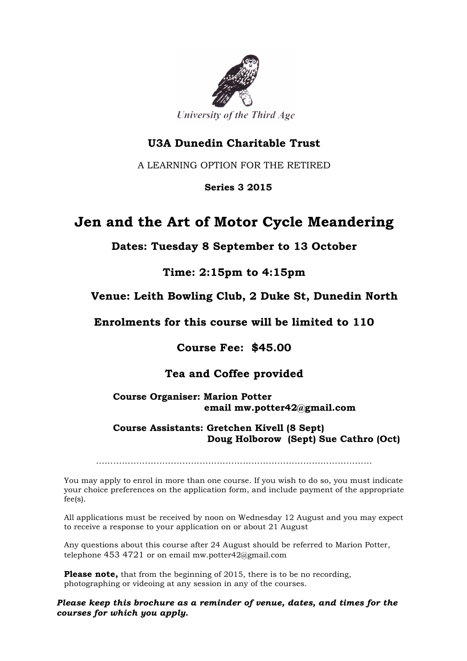

### **U3A Dunedin Charitable Trust**

A LEARNING OPTION FOR THE RETIRED

 **Series 3 2015**

## **Jen and the Art of Motor Cycle Meandering**

**Dates: Tuesday 8 September to 13 October**

**Time: 2:15pm to 4:15pm**

#### **Venue: Leith Bowling Club, 2 Duke St, Dunedin North**

**Enrolments for this course will be limited to 110**

**Course Fee: \$45.00**

#### **Tea and Coffee provided**

**Course Organiser: Marion Potter email mw.potter42@gmail.com**

 **Course Assistants: Gretchen Kivell (8 Sept) Doug Holborow (Sept) Sue Cathro (Oct)**

……………………………………………………………………………………

You may apply to enrol in more than one course. If you wish to do so, you must indicate your choice preferences on the application form, and include payment of the appropriate fee(s).

All applications must be received by noon on Wednesday 12 August and you may expect to receive a response to your application on or about 21 August

Any questions about this course after 24 August should be referred to Marion Potter, telephone 453 4721 or on email mw.potter42@gmail.com

**Please note,** that from the beginning of 2015, there is to be no recording, photographing or videoing at any session in any of the courses.

*Please keep this brochure as a reminder of venue, dates, and times for the courses for which you apply.*